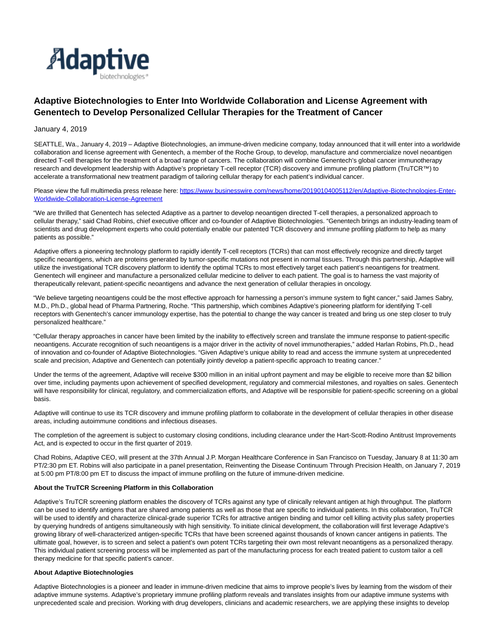

## **Adaptive Biotechnologies to Enter Into Worldwide Collaboration and License Agreement with Genentech to Develop Personalized Cellular Therapies for the Treatment of Cancer**

## January 4, 2019

SEATTLE, Wa., January 4, 2019 – Adaptive Biotechnologies, an immune-driven medicine company, today announced that it will enter into a worldwide collaboration and license agreement with Genentech, a member of the Roche Group, to develop, manufacture and commercialize novel neoantigen directed T-cell therapies for the treatment of a broad range of cancers. The collaboration will combine Genentech's global cancer immunotherapy research and development leadership with Adaptive's proprietary T-cell receptor (TCR) discovery and immune profiling platform (TruTCR™) to accelerate a transformational new treatment paradigm of tailoring cellular therapy for each patient's individual cancer.

Please view the full multimedia press release here: [https://www.businesswire.com/news/home/20190104005112/en/Adaptive-Biotechnologies-Enter-](https://www.businesswire.com/news/home/20190104005112/en/Adaptive-Biotechnologies-Enter-Worldwide-Collaboration-License-Agreement)Worldwide-Collaboration-License-Agreement

"We are thrilled that Genentech has selected Adaptive as a partner to develop neoantigen directed T-cell therapies, a personalized approach to cellular therapy," said Chad Robins, chief executive officer and co-founder of Adaptive Biotechnologies. "Genentech brings an industry-leading team of scientists and drug development experts who could potentially enable our patented TCR discovery and immune profiling platform to help as many patients as possible."

Adaptive offers a pioneering technology platform to rapidly identify T-cell receptors (TCRs) that can most effectively recognize and directly target specific neoantigens, which are proteins generated by tumor-specific mutations not present in normal tissues. Through this partnership, Adaptive will utilize the investigational TCR discovery platform to identify the optimal TCRs to most effectively target each patient's neoantigens for treatment. Genentech will engineer and manufacture a personalized cellular medicine to deliver to each patient. The goal is to harness the vast majority of therapeutically relevant, patient-specific neoantigens and advance the next generation of cellular therapies in oncology.

"We believe targeting neoantigens could be the most effective approach for harnessing a person's immune system to fight cancer," said James Sabry, M.D., Ph.D., global head of Pharma Partnering, Roche. "This partnership, which combines Adaptive's pioneering platform for identifying T-cell receptors with Genentech's cancer immunology expertise, has the potential to change the way cancer is treated and bring us one step closer to truly personalized healthcare."

"Cellular therapy approaches in cancer have been limited by the inability to effectively screen and translate the immune response to patient-specific neoantigens. Accurate recognition of such neoantigens is a major driver in the activity of novel immunotherapies," added Harlan Robins, Ph.D., head of innovation and co-founder of Adaptive Biotechnologies. "Given Adaptive's unique ability to read and access the immune system at unprecedented scale and precision, Adaptive and Genentech can potentially jointly develop a patient-specific approach to treating cancer."

Under the terms of the agreement, Adaptive will receive \$300 million in an initial upfront payment and may be eligible to receive more than \$2 billion over time, including payments upon achievement of specified development, regulatory and commercial milestones, and royalties on sales. Genentech will have responsibility for clinical, regulatory, and commercialization efforts, and Adaptive will be responsible for patient-specific screening on a global basis.

Adaptive will continue to use its TCR discovery and immune profiling platform to collaborate in the development of cellular therapies in other disease areas, including autoimmune conditions and infectious diseases.

The completion of the agreement is subject to customary closing conditions, including clearance under the Hart-Scott-Rodino Antitrust Improvements Act, and is expected to occur in the first quarter of 2019.

Chad Robins, Adaptive CEO, will present at the 37th Annual J.P. Morgan Healthcare Conference in San Francisco on Tuesday, January 8 at 11:30 am PT/2:30 pm ET. Robins will also participate in a panel presentation, Reinventing the Disease Continuum Through Precision Health, on January 7, 2019 at 5:00 pm PT/8:00 pm ET to discuss the impact of immune profiling on the future of immune-driven medicine.

## **About the TruTCR Screening Platform in this Collaboration**

Adaptive's TruTCR screening platform enables the discovery of TCRs against any type of clinically relevant antigen at high throughput. The platform can be used to identify antigens that are shared among patients as well as those that are specific to individual patients. In this collaboration, TruTCR will be used to identify and characterize clinical-grade superior TCRs for attractive antigen binding and tumor cell killing activity plus safety properties by querying hundreds of antigens simultaneously with high sensitivity. To initiate clinical development, the collaboration will first leverage Adaptive's growing library of well-characterized antigen-specific TCRs that have been screened against thousands of known cancer antigens in patients. The ultimate goal, however, is to screen and select a patient's own potent TCRs targeting their own most relevant neoantigens as a personalized therapy. This individual patient screening process will be implemented as part of the manufacturing process for each treated patient to custom tailor a cell therapy medicine for that specific patient's cancer.

## **About Adaptive Biotechnologies**

Adaptive Biotechnologies is a pioneer and leader in immune-driven medicine that aims to improve people's lives by learning from the wisdom of their adaptive immune systems. Adaptive's proprietary immune profiling platform reveals and translates insights from our adaptive immune systems with unprecedented scale and precision. Working with drug developers, clinicians and academic researchers, we are applying these insights to develop